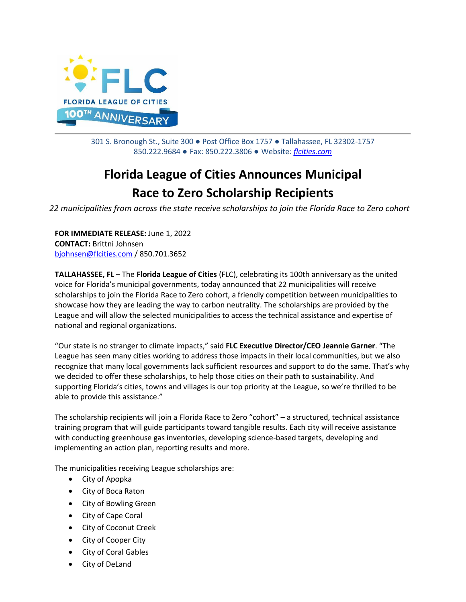

301 S. Bronough St., Suite 300 ● Post Office Box 1757 ● Tallahassee, FL 32302-1757 850.222.9684 ● Fax: 850.222.3806 ● Website: *[flcities.com](http://www.flcities.com/)*

## **Florida League of Cities Announces Municipal Race to Zero Scholarship Recipients**

*22 municipalities from across the state receive scholarships to join the Florida Race to Zero cohort*

**FOR IMMEDIATE RELEASE:** June 1, 2022 **CONTACT:** Brittni Johnsen [bjohnsen@flcities.com](mailto:bjohnsen@flcities.com) / 850.701.3652

**TALLAHASSEE, FL** – The **Florida League of Cities** (FLC), celebrating its 100th anniversary as the united voice for Florida's municipal governments, today announced that 22 municipalities will receive scholarships to join the Florida Race to Zero cohort, a friendly competition between municipalities to showcase how they are leading the way to carbon neutrality. The scholarships are provided by the League and will allow the selected municipalities to access the technical assistance and expertise of national and regional organizations.

"Our state is no stranger to climate impacts," said **FLC Executive Director/CEO Jeannie Garner**. "The League has seen many cities working to address those impacts in their local communities, but we also recognize that many local governments lack sufficient resources and support to do the same. That's why we decided to offer these scholarships, to help those cities on their path to sustainability. And supporting Florida's cities, towns and villages is our top priority at the League, so we're thrilled to be able to provide this assistance."

The scholarship recipients will join a Florida Race to Zero "cohort" – a structured, technical assistance training program that will guide participants toward tangible results. Each city will receive assistance with conducting greenhouse gas inventories, developing science-based targets, developing and implementing an action plan, reporting results and more.

The municipalities receiving League scholarships are:

- City of Apopka
- City of Boca Raton
- City of Bowling Green
- City of Cape Coral
- City of Coconut Creek
- City of Cooper City
- City of Coral Gables
- City of DeLand